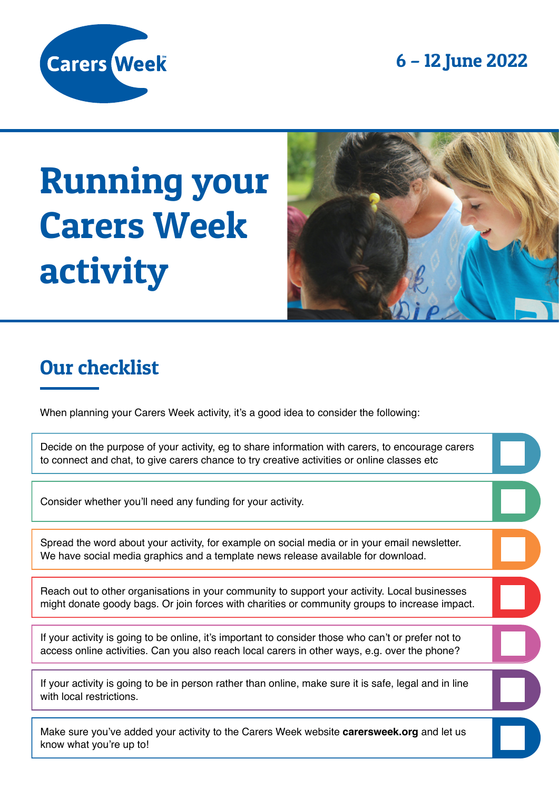6 – 12 June 2022



# Running your Carers Week activity



#### Our checklist

When planning your Carers Week activity, it's a good idea to consider the following:

Decide on the purpose of your activity, eg to share information with carers, to encourage carers to connect and chat, to give carers chance to try creative activities or online classes etc

Consider whether you'll need any funding for your activity.

Spread the word about your activity, for example on social media or in your email newsletter. We have social media graphics and a template news release available for download.

Reach out to other organisations in your community to support your activity. Local businesses might donate goody bags. Or join forces with charities or community groups to increase impact.

If your activity is going to be online, it's important to consider those who can't or prefer not to access online activities. Can you also reach local carers in other ways, e.g. over the phone?

If your activity is going to be in person rather than online, make sure it is safe, legal and in line with local restrictions.

Make sure you've added your activity to the Carers Week website **carersweek.org** and let us know what you're up to!